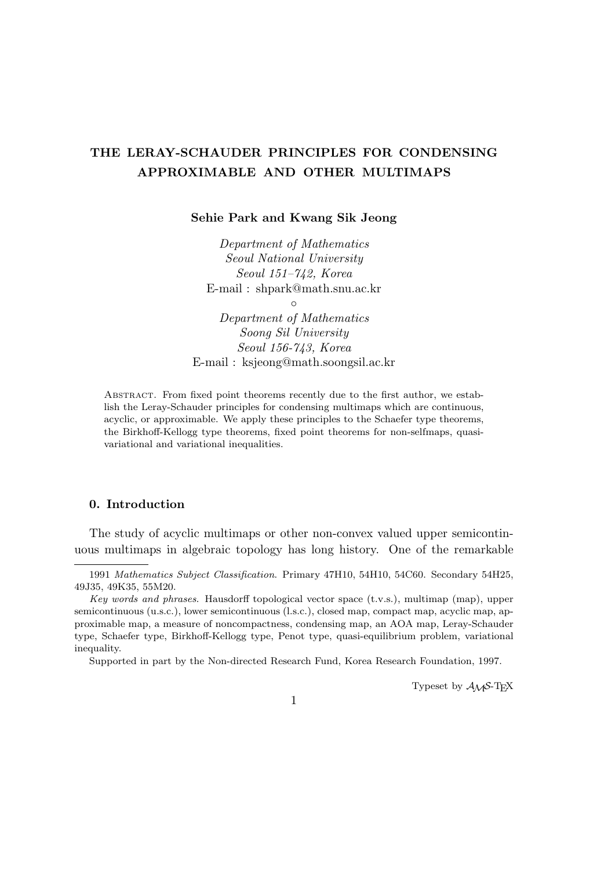# **THE LERAY-SCHAUDER PRINCIPLES FOR CONDENSING APPROXIMABLE AND OTHER MULTIMAPS**

**Sehie Park and Kwang Sik Jeong**

*Department of Mathematics Seoul National University Seoul 151–742, Korea* E-mail : shpark@math.snu.ac.kr

*◦*

*Department of Mathematics Soong Sil University Seoul 156-743, Korea* E-mail : ksjeong@math.soongsil.ac.kr

Abstract. From fixed point theorems recently due to the first author, we establish the Leray-Schauder principles for condensing multimaps which are continuous, acyclic, or approximable. We apply these principles to the Schaefer type theorems, the Birkhoff-Kellogg type theorems, fixed point theorems for non-selfmaps, quasivariational and variational inequalities.

# **0. Introduction**

The study of acyclic multimaps or other non-convex valued upper semicontinuous multimaps in algebraic topology has long history. One of the remarkable

Supported in part by the Non-directed Research Fund, Korea Research Foundation, 1997.

Typeset by  $A_{\mathcal{M}}S$ -T<sub>E</sub>X

<sup>1991</sup> *Mathematics Subject Classification*. Primary 47H10, 54H10, 54C60. Secondary 54H25, 49J35, 49K35, 55M20.

*Key words and phrases*. Hausdorff topological vector space (t.v.s.), multimap (map), upper semicontinuous (u.s.c.), lower semicontinuous (l.s.c.), closed map, compact map, acyclic map, approximable map, a measure of noncompactness, condensing map, an AOA map, Leray-Schauder type, Schaefer type, Birkhoff-Kellogg type, Penot type, quasi-equilibrium problem, variational inequality.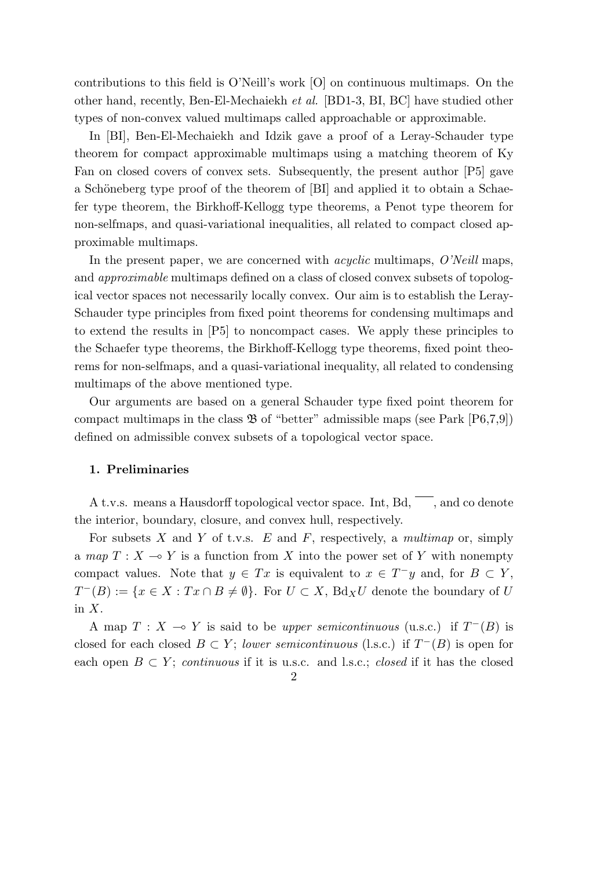contributions to this field is O'Neill's work [O] on continuous multimaps. On the other hand, recently, Ben-El-Mechaiekh *et al.* [BD1-3, BI, BC] have studied other types of non-convex valued multimaps called approachable or approximable.

In [BI], Ben-El-Mechaiekh and Idzik gave a proof of a Leray-Schauder type theorem for compact approximable multimaps using a matching theorem of Ky Fan on closed covers of convex sets. Subsequently, the present author [P5] gave a Schöneberg type proof of the theorem of [BI] and applied it to obtain a Schaefer type theorem, the Birkhoff-Kellogg type theorems, a Penot type theorem for non-selfmaps, and quasi-variational inequalities, all related to compact closed approximable multimaps.

In the present paper, we are concerned with *acyclic* multimaps, *O'Neill* maps, and *approximable* multimaps defined on a class of closed convex subsets of topological vector spaces not necessarily locally convex. Our aim is to establish the Leray-Schauder type principles from fixed point theorems for condensing multimaps and to extend the results in [P5] to noncompact cases. We apply these principles to the Schaefer type theorems, the Birkhoff-Kellogg type theorems, fixed point theorems for non-selfmaps, and a quasi-variational inequality, all related to condensing multimaps of the above mentioned type.

Our arguments are based on a general Schauder type fixed point theorem for compact multimaps in the class  $\mathfrak{B}$  of "better" admissible maps (see Park [P6,7,9]) defined on admissible convex subsets of a topological vector space.

# **1. Preliminaries**

A t.v.s. means a Hausdorff topological vector space. Int,  $Bd$ ,  $\overline{\phantom{a}}$ , and co denote the interior, boundary, closure, and convex hull, respectively.

For subsets *X* and *Y* of t.v.s. *E* and *F*, respectively, a *multimap* or, simply a *map*  $T: X \to Y$  is a function from X into the power set of Y with nonempty compact values. Note that  $y \in Tx$  is equivalent to  $x \in T^-y$  and, for  $B \subset Y$ , *T*<sup>−</sup>(*B*) := {*x* ∈ *X* : *Tx* ∩ *B*  $\neq$  *Ø*}. For *U* ⊂ *X*, Bd*xU* denote the boundary of *U* in *X*.

A map  $T : X \to Y$  is said to be *upper semicontinuous* (u.s.c.) if  $T^{-}(B)$  is closed for each closed  $B \subset Y$ ; *lower semicontinuous* (l.s.c.) if  $T^{-}(B)$  is open for each open  $B \subset Y$ ; *continuous* if it is u.s.c. and l.s.c.; *closed* if it has the closed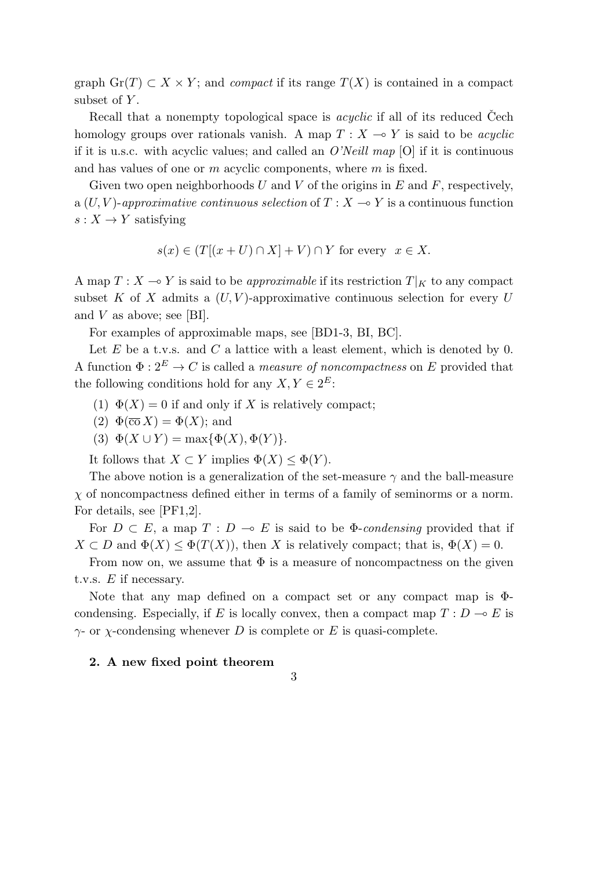graph  $\text{Gr}(T) \subset X \times Y$ ; and *compact* if its range  $T(X)$  is contained in a compact subset of *Y* .

Recall that a nonempty topological space is *acyclic* if all of its reduced Cech homology groups over rationals vanish. A map  $T : X \rightarrow Y$  is said to be *acyclic* if it is u.s.c. with acyclic values; and called an *O'Neill map* [O] if it is continuous and has values of one or *m* acyclic components, where *m* is fixed.

Given two open neighborhoods *U* and *V* of the origins in *E* and *F*, respectively, a  $(U, V)$ -approximative continuous selection of  $T: X \to Y$  is a continuous function  $s: X \to Y$  satisfying

$$
s(x) \in (T[(x+U) \cap X] + V) \cap Y
$$
 for every  $x \in X$ .

A map  $T: X \to Y$  is said to be *approximable* if its restriction  $T|_K$  to any compact subset  $K$  of  $X$  admits a  $(U, V)$ -approximative continuous selection for every  $U$ and *V* as above; see [BI].

For examples of approximable maps, see [BD1-3, BI, BC].

Let *E* be a t.v.s. and *C* a lattice with a least element, which is denoted by 0. A function  $\Phi: 2^E \to C$  is called a *measure of noncompactness* on *E* provided that the following conditions hold for any  $X, Y \in 2^E$ :

- (1)  $\Phi(X) = 0$  if and only if X is relatively compact;
- (2)  $\Phi(\overline{co} X) = \Phi(X)$ ; and
- (3)  $\Phi(X \cup Y) = \max{\{\Phi(X), \Phi(Y)\}}$ .

It follows that  $X \subset Y$  implies  $\Phi(X) \leq \Phi(Y)$ .

The above notion is a generalization of the set-measure  $\gamma$  and the ball-measure  $\chi$  of noncompactness defined either in terms of a family of seminorms or a norm. For details, see [PF1,2].

For  $D \subset E$ , a map  $T : D \multimap E$  is said to be  $\Phi$ -*condensing* provided that if  $X \subset D$  and  $\Phi(X) \leq \Phi(T(X))$ , then *X* is relatively compact; that is,  $\Phi(X) = 0$ .

From now on, we assume that  $\Phi$  is a measure of noncompactness on the given t.v.s. *E* if necessary.

Note that any map defined on a compact set or any compact map is Φcondensing. Especially, if *E* is locally convex, then a compact map  $T: D \to E$  is *γ*- or *χ*-condensing whenever *D* is complete or *E* is quasi-complete.

3

### **2. A new fixed point theorem**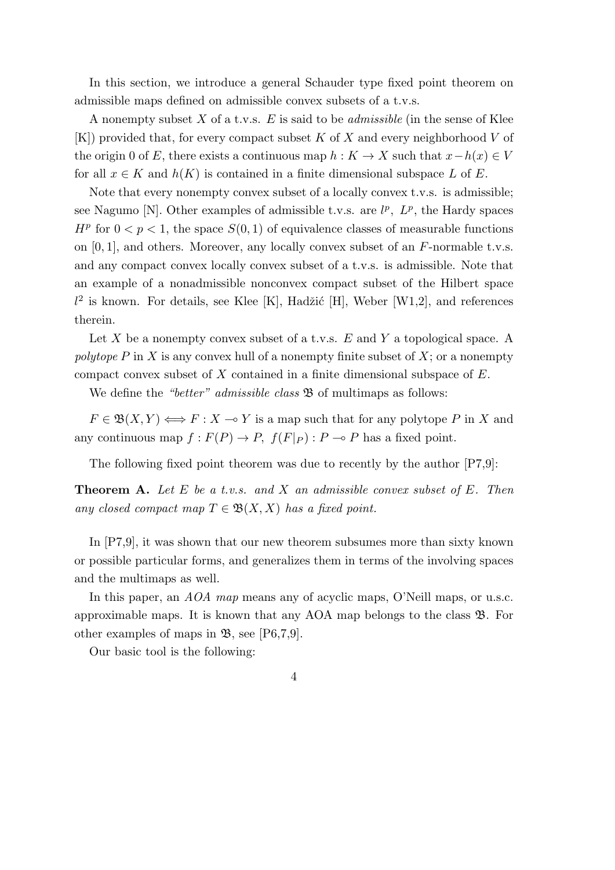In this section, we introduce a general Schauder type fixed point theorem on admissible maps defined on admissible convex subsets of a t.v.s.

A nonempty subset *X* of a t.v.s. *E* is said to be *admissible* (in the sense of Klee [K]) provided that, for every compact subset *K* of *X* and every neighborhood *V* of the origin 0 of *E*, there exists a continuous map  $h: K \to X$  such that  $x - h(x) \in V$ for all  $x \in K$  and  $h(K)$  is contained in a finite dimensional subspace  $L$  of  $E$ .

Note that every nonempty convex subset of a locally convex t.v.s. is admissible; see Nagumo [N]. Other examples of admissible t.v.s. are  $l^p$ ,  $L^p$ , the Hardy spaces  $H^p$  for  $0 < p < 1$ , the space  $S(0, 1)$  of equivalence classes of measurable functions on [0*,* 1], and others. Moreover, any locally convex subset of an *F*-normable t.v.s. and any compact convex locally convex subset of a t.v.s. is admissible. Note that an example of a nonadmissible nonconvex compact subset of the Hilbert space  $l^2$  is known. For details, see Klee [K], Hadžić [H], Weber [W1,2], and references therein.

Let *X* be a nonempty convex subset of a t.v.s. *E* and *Y* a topological space. A *polytope P* in *X* is any convex hull of a nonempty finite subset of *X*; or a nonempty compact convex subset of *X* contained in a finite dimensional subspace of *E*.

We define the *"better" admissible class*  $\mathfrak{B}$  of multimaps as follows:

 $F \in \mathfrak{B}(X, Y) \Longleftrightarrow F : X \to Y$  is a map such that for any polytope *P* in *X* and any continuous map  $f: F(P) \to P$ ,  $f(F|_P): P \to P$  has a fixed point.

The following fixed point theorem was due to recently by the author [P7,9]:

**Theorem A.** *Let E be a t.v.s. and X an admissible convex subset of E. Then any closed compact map*  $T \in \mathfrak{B}(X,X)$  *has a fixed point.* 

In [P7,9], it was shown that our new theorem subsumes more than sixty known or possible particular forms, and generalizes them in terms of the involving spaces and the multimaps as well.

In this paper, an *AOA map* means any of acyclic maps, O'Neill maps, or u.s.c. approximable maps. It is known that any AOA map belongs to the class B. For other examples of maps in  $\mathfrak{B}$ , see [P6,7,9].

Our basic tool is the following: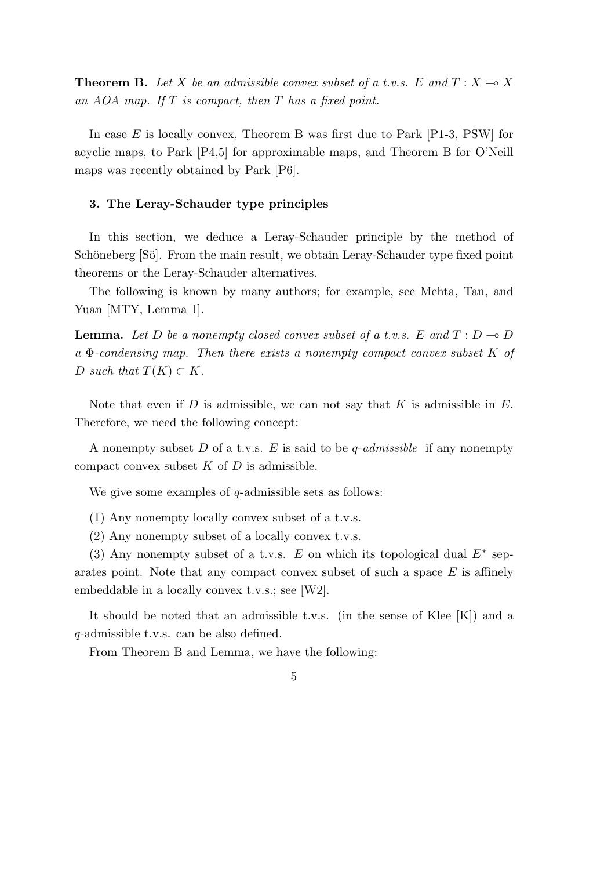**Theorem B.** Let *X* be an admissible convex subset of a t.v.s. E and  $T: X \to X$ *an AOA map. If T is compact, then T has a fixed point.*

In case *E* is locally convex, Theorem B was first due to Park [P1-3, PSW] for acyclic maps, to Park [P4,5] for approximable maps, and Theorem B for O'Neill maps was recently obtained by Park [P6].

### **3. The Leray-Schauder type principles**

In this section, we deduce a Leray-Schauder principle by the method of Schöneberg [Sö]. From the main result, we obtain Leray-Schauder type fixed point theorems or the Leray-Schauder alternatives.

The following is known by many authors; for example, see Mehta, Tan, and Yuan [MTY, Lemma 1].

**Lemma.** Let D be a nonempty closed convex subset of a t.v.s. E and  $T: D \to D$ *a* Φ*-condensing map. Then there exists a nonempty compact convex subset K of*  $D \text{ such that } T(K) \subset K$ .

Note that even if *D* is admissible, we can not say that *K* is admissible in *E*. Therefore, we need the following concept:

A nonempty subset *D* of a t.v.s. *E* is said to be *q*-*admissible* if any nonempty compact convex subset *K* of *D* is admissible.

We give some examples of *q*-admissible sets as follows:

(1) Any nonempty locally convex subset of a t.v.s.

(2) Any nonempty subset of a locally convex t.v.s.

(3) Any nonempty subset of a t.v.s. *E* on which its topological dual *E<sup>∗</sup>* separates point. Note that any compact convex subset of such a space *E* is affinely embeddable in a locally convex t.v.s.; see [W2].

It should be noted that an admissible t.v.s. (in the sense of Klee [K]) and a *q*-admissible t.v.s. can be also defined.

From Theorem B and Lemma, we have the following: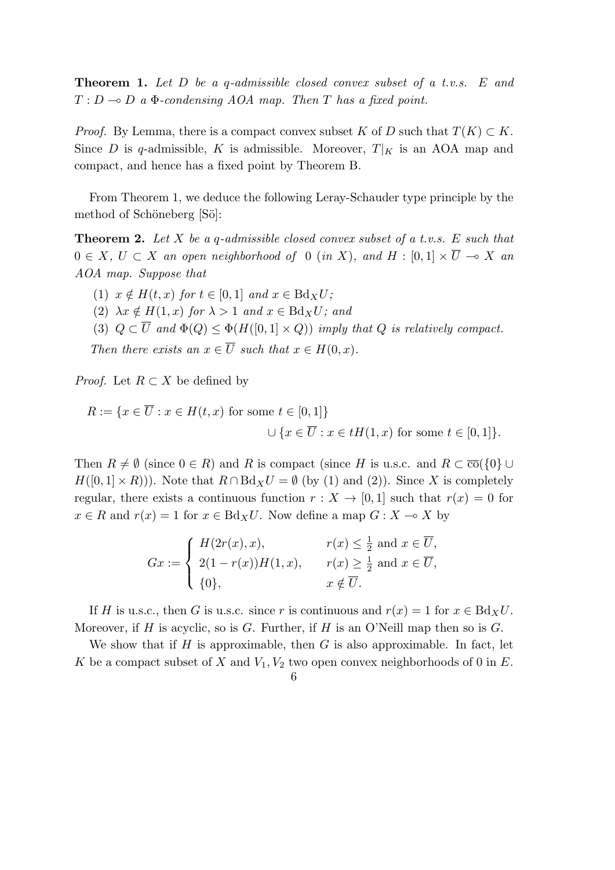**Theorem 1.** *Let D be a q-admissible closed convex subset of a t.v.s. E and*  $T: D \rightarrow D$  *a*  $\Phi$ -condensing AOA map. Then *T* has a fixed point.

*Proof.* By Lemma, there is a compact convex subset *K* of *D* such that  $T(K) \subset K$ . Since *D* is *q*-admissible, *K* is admissible. Moreover,  $T|_K$  is an AOA map and compact, and hence has a fixed point by Theorem B.

From Theorem 1, we deduce the following Leray-Schauder type principle by the method of Schöneberg [Sö]:

**Theorem 2.** *Let X be a q-admissible closed convex subset of a t.v.s. E such that* 0 ∈ *X*, *U* ⊂ *X* an open neighborhood of 0 (*in X*), and *H* : [0, 1]  $\times \overline{U} \rightarrow X$  an *AOA map. Suppose that*

 $(1)$   $x \notin H(t, x)$  *for*  $t \in [0, 1]$  *and*  $x \in Bd_XU$ ;

(2)  $\lambda x \notin H(1, x)$  *for*  $\lambda > 1$  *and*  $x \in Bd_XU$ *; and* 

(3)  $Q \subset \overline{U}$  and  $\Phi(Q) \leq \Phi(H([0, 1] \times Q))$  *imply that*  $Q$  *is relatively compact.* 

*Then there exists an*  $x \in \overline{U}$  *such that*  $x \in H(0, x)$ *.* 

*Proof.* Let  $R \subset X$  be defined by

$$
R := \{ x \in \overline{U} : x \in H(t, x) \text{ for some } t \in [0, 1] \}
$$
  

$$
\cup \{ x \in \overline{U} : x \in tH(1, x) \text{ for some } t \in [0, 1] \}.
$$

Then  $R \neq \emptyset$  (since  $0 \in R$ ) and  $R$  is compact (since  $H$  is u.s.c. and  $R \subset \overline{co}(\{0\} \cup$  $H([0,1] \times R))$ . Note that  $R \cap Bd_X U = \emptyset$  (by (1) and (2)). Since X is completely regular, there exists a continuous function  $r : X \to [0,1]$  such that  $r(x) = 0$  for  $x \in R$  and  $r(x) = 1$  for  $x \in Bd_XU$ . Now define a map  $G: X \to X$  by

$$
Gx := \begin{cases} H(2r(x), x), & r(x) \leq \frac{1}{2} \text{ and } x \in \overline{U}, \\ 2(1 - r(x))H(1, x), & r(x) \geq \frac{1}{2} \text{ and } x \in \overline{U}, \\ \{0\}, & x \notin \overline{U}. \end{cases}
$$

If *H* is u.s.c., then *G* is u.s.c. since *r* is continuous and  $r(x) = 1$  for  $x \in Bd_XU$ . Moreover, if *H* is acyclic, so is *G*. Further, if *H* is an O'Neill map then so is *G*.

We show that if *H* is approximable, then *G* is also approximable. In fact, let *K* be a compact subset of *X* and *V*1*, V*<sup>2</sup> two open convex neighborhoods of 0 in *E*.

6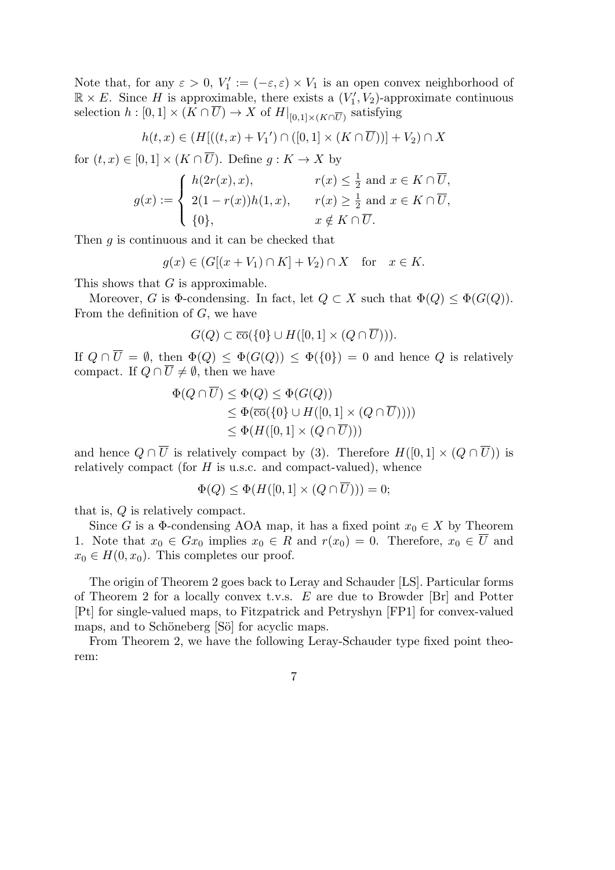Note that, for any  $\varepsilon > 0$ ,  $V'_1 := (-\varepsilon, \varepsilon) \times V_1$  is an open convex neighborhood of  $\mathbb{R} \times E$ . Since *H* is approximable, there exists a  $(V'_1, V_2)$ -approximate continuous selection  $h: [0,1] \times (K \cap U) \to X$  of  $H|_{[0,1] \times (K \cap \overline{U})}$  satisfying

$$
h(t, x) \in (H[((t, x) + V_1') \cap ([0, 1] \times (K \cap \overline{U}))] + V_2) \cap X
$$

for  $(t, x) \in [0, 1] \times (K \cap \overline{U})$ . Define  $g: K \to X$  by

$$
g(x) := \begin{cases} h(2r(x), x), & r(x) \leq \frac{1}{2} \text{ and } x \in K \cap \overline{U}, \\ 2(1 - r(x))h(1, x), & r(x) \geq \frac{1}{2} \text{ and } x \in K \cap \overline{U}, \\ \{0\}, & x \notin K \cap \overline{U}. \end{cases}
$$

Then *g* is continuous and it can be checked that

$$
g(x) \in (G[(x+V_1) \cap K] + V_2) \cap X \quad \text{for} \quad x \in K.
$$

This shows that *G* is approximable.

Moreover, *G* is  $\Phi$ -condensing. In fact, let  $Q \subset X$  such that  $\Phi(Q) \leq \Phi(G(Q))$ . From the definition of *G*, we have

$$
G(Q) \subset \overline{\mathrm{co}}(\{0\} \cup H([0,1] \times (Q \cap \overline{U}))).
$$

If  $Q \cap \overline{U} = \emptyset$ , then  $\Phi(Q) \leq \Phi(G(Q)) \leq \Phi(\{0\}) = 0$  and hence  $Q$  is relatively compact. If  $Q \cap \overline{U} \neq \emptyset$ , then we have

$$
\Phi(Q \cap U) \le \Phi(Q) \le \Phi(G(Q))
$$
  
\n
$$
\le \Phi(\overline{\text{co}}(\{0\} \cup H([0,1] \times (Q \cap \overline{U}))))
$$
  
\n
$$
\le \Phi(H([0,1] \times (Q \cap \overline{U})))
$$

and hence  $Q \cap \overline{U}$  is relatively compact by (3). Therefore  $H([0,1] \times (Q \cap \overline{U}))$  is relatively compact (for *H* is u.s.c. and compact-valued), whence

$$
\Phi(Q) \le \Phi(H([0,1] \times (Q \cap \overline{U}))) = 0;
$$

that is, *Q* is relatively compact.

Since *G* is a  $\Phi$ -condensing AOA map, it has a fixed point  $x_0 \in X$  by Theorem 1. Note that  $x_0 \in Gx_0$  implies  $x_0 \in R$  and  $r(x_0) = 0$ . Therefore,  $x_0 \in \overline{U}$  and  $x_0 \in H(0, x_0)$ . This completes our proof.

The origin of Theorem 2 goes back to Leray and Schauder [LS]. Particular forms of Theorem 2 for a locally convex t.v.s. *E* are due to Browder [Br] and Potter [Pt] for single-valued maps, to Fitzpatrick and Petryshyn [FP1] for convex-valued maps, and to Schöneberg [Sö] for acyclic maps.

From Theorem 2, we have the following Leray-Schauder type fixed point theorem: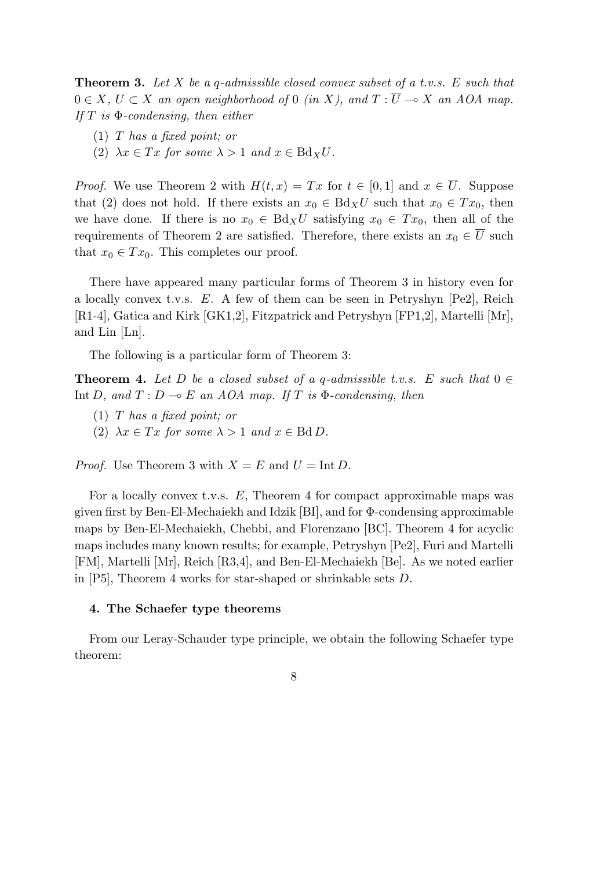**Theorem 3.** *Let X be a q-admissible closed convex subset of a t.v.s. E such that* 0 ∈ *X*,  $U \subset X$  *an open neighborhood of* 0 *(in X), and*  $T : \overline{U} \to X$  *an AOA map. If T is* Φ*-condensing, then either*

- (1) *T has a fixed point; or*
- $(2)$   $\lambda x \in Tx$  for some  $\lambda > 1$  and  $x \in Bd_XU$ .

*Proof.* We use Theorem 2 with  $H(t, x) = Tx$  for  $t \in [0, 1]$  and  $x \in \overline{U}$ . Suppose that (2) does not hold. If there exists an  $x_0 \in Bd_XU$  such that  $x_0 \in Tx_0$ , then we have done. If there is no  $x_0 \in Bd_XU$  satisfying  $x_0 \in Tx_0$ , then all of the requirements of Theorem 2 are satisfied. Therefore, there exists an  $x_0 \in \overline{U}$  such that  $x_0 \in Tx_0$ . This completes our proof.

There have appeared many particular forms of Theorem 3 in history even for a locally convex t.v.s. *E*. A few of them can be seen in Petryshyn [Pe2], Reich [R1-4], Gatica and Kirk [GK1,2], Fitzpatrick and Petryshyn [FP1,2], Martelli [Mr], and Lin [Ln].

The following is a particular form of Theorem 3:

**Theorem 4.** Let D be a closed subset of a *q*-admissible t.v.s.  $E$  such that  $0 \in$ Int *D*, and  $T: D \to E$  an AOA map. If  $T$  is  $\Phi$ -condensing, then

- (1) *T has a fixed point; or*
- $(2)$   $\lambda x \in Tx$  for some  $\lambda > 1$  and  $x \in \text{Bd} D$ .

*Proof.* Use Theorem 3 with  $X = E$  and  $U = \text{Int } D$ .

For a locally convex t.v.s. *E*, Theorem 4 for compact approximable maps was given first by Ben-El-Mechaiekh and Idzik [BI], and for Φ-condensing approximable maps by Ben-El-Mechaiekh, Chebbi, and Florenzano [BC]. Theorem 4 for acyclic maps includes many known results; for example, Petryshyn [Pe2], Furi and Martelli [FM], Martelli [Mr], Reich [R3,4], and Ben-El-Mechaiekh [Be]. As we noted earlier in [P5], Theorem 4 works for star-shaped or shrinkable sets *D*.

# **4. The Schaefer type theorems**

From our Leray-Schauder type principle, we obtain the following Schaefer type theorem: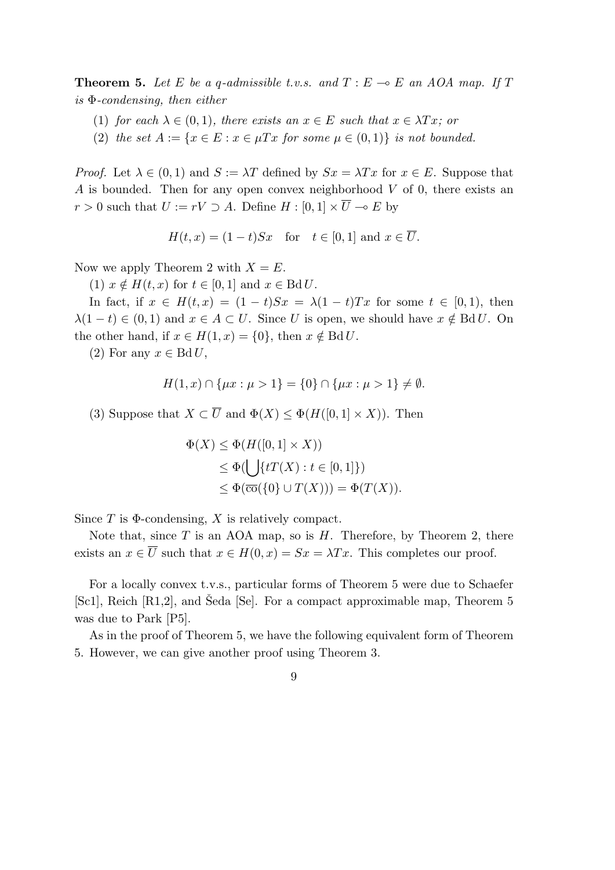**Theorem 5.** Let E be a *q*-admissible t.v.s. and  $T : E \to E$  an AOA map. If T *is* Φ*-condensing, then either*

- (1) *for each*  $\lambda \in (0,1)$ *, there exists an*  $x \in E$  *such that*  $x \in \lambda Tx$ *; or*
- (2) the set  $A := \{x \in E : x \in \mu \}$  *x* for some  $\mu \in (0,1)$ *} is not bounded.*

*Proof.* Let  $\lambda \in (0,1)$  and  $S := \lambda T$  defined by  $Sx = \lambda Tx$  for  $x \in E$ . Suppose that *A* is bounded. Then for any open convex neighborhood *V* of 0, there exists an *r* > 0 such that *U* := *rV* ⊃ *A*. Define *H* : [0, 1]  $\times \overline{U}$  → *E* by

$$
H(t, x) = (1 - t)Sx \quad \text{for} \quad t \in [0, 1] \text{ and } x \in \overline{U}.
$$

Now we apply Theorem 2 with  $X = E$ .

 $(1)$   $x \notin H(t, x)$  for  $t \in [0, 1]$  and  $x \in \text{Bd} U$ .

In fact, if  $x \in H(t, x) = (1 - t)Sx = \lambda(1 - t)Tx$  for some  $t \in [0, 1)$ , then  $\lambda(1-t) \in (0,1)$  and  $x \in A \subset U$ . Since *U* is open, we should have  $x \notin \text{Bd} U$ . On the other hand, if  $x \in H(1, x) = \{0\}$ , then  $x \notin \text{Bd} U$ .

 $(2)$  For any  $x \in \text{Bd } U$ ,

$$
H(1, x) \cap \{\mu x : \mu > 1\} = \{0\} \cap \{\mu x : \mu > 1\} \neq \emptyset.
$$

(3) Suppose that  $X \subset \overline{U}$  and  $\Phi(X) \leq \Phi(H([0,1] \times X))$ . Then

$$
\Phi(X) \le \Phi(H([0,1] \times X))
$$
  
\n
$$
\le \Phi(\bigcup \{tT(X) : t \in [0,1]\})
$$
  
\n
$$
\le \Phi(\overline{\text{co}}(\{0\} \cup T(X))) = \Phi(T(X)).
$$

Since *T* is Φ-condensing, *X* is relatively compact.

Note that, since *T* is an AOA map, so is *H*. Therefore, by Theorem 2, there exists an  $x \in \overline{U}$  such that  $x \in H(0, x) = Sx = \lambda Tx$ . This completes our proof.

For a locally convex t.v.s., particular forms of Theorem 5 were due to Schaefer [Sc1], Reich  $[R1,2]$ , and Seda [Se]. For a compact approximable map, Theorem 5 was due to Park [P5].

As in the proof of Theorem 5, we have the following equivalent form of Theorem 5. However, we can give another proof using Theorem 3.

9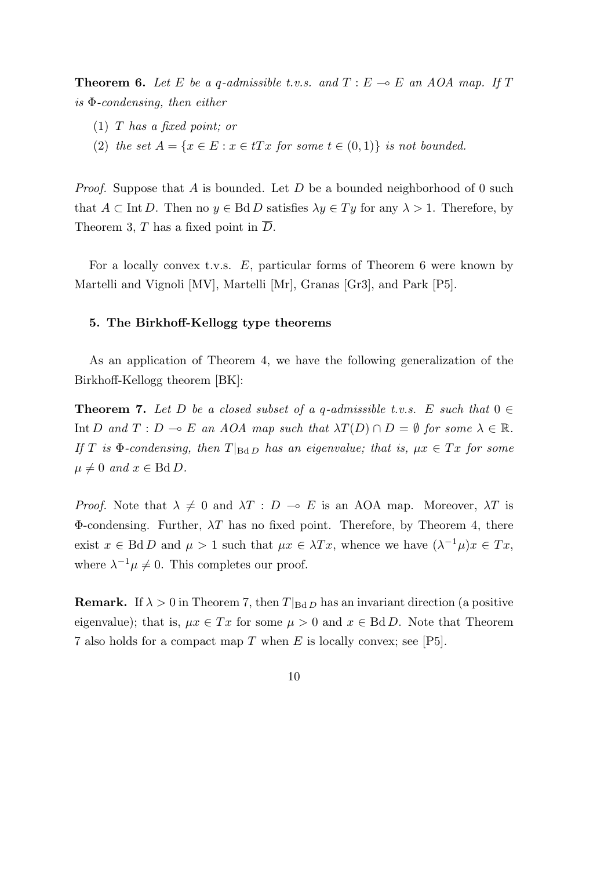**Theorem 6.** Let *E* be a *q*-admissible t.v.s. and  $T : E \to E$  an AOA map. If  $T$ *is* Φ*-condensing, then either*

- (1) *T has a fixed point; or*
- (2) *the set*  $A = \{x \in E : x \in tTx \text{ for some } t \in (0,1)\}$  *is not bounded.*

*Proof.* Suppose that *A* is bounded. Let *D* be a bounded neighborhood of 0 such that  $A \subset \text{Int } D$ . Then no  $y \in \text{Bd } D$  satisfies  $\lambda y \in Ty$  for any  $\lambda > 1$ . Therefore, by Theorem 3, *T* has a fixed point in *D*.

For a locally convex t.v.s. *E*, particular forms of Theorem 6 were known by Martelli and Vignoli [MV], Martelli [Mr], Granas [Gr3], and Park [P5].

### **5. The Birkhoff-Kellogg type theorems**

As an application of Theorem 4, we have the following generalization of the Birkhoff-Kellogg theorem [BK]:

**Theorem 7.** Let D be a closed subset of a q-admissible t.v.s. E such that  $0 \in$ Int *D* and  $T: D \multimap E$  an AOA map such that  $\lambda T(D) \cap D = \emptyset$  for some  $\lambda \in \mathbb{R}$ . *If T is*  $\Phi$ -condensing, then  $T|_{\text{Bd}D}$  *has an eigenvalue; that is,*  $\mu x \in Tx$  *for some*  $\mu \neq 0$  and  $x \in \text{Bd} D$ .

*Proof.* Note that  $\lambda \neq 0$  and  $\lambda T : D \multimap E$  is an AOA map. Moreover,  $\lambda T$  is  $\Phi$ -condensing. Further,  $\lambda T$  has no fixed point. Therefore, by Theorem 4, there exist  $x \in \text{Bd } D$  and  $\mu > 1$  such that  $\mu x \in \lambda Tx$ , whence we have  $(\lambda^{-1}\mu)x \in Tx$ , where  $\lambda^{-1}\mu \neq 0$ . This completes our proof.

**Remark.** If  $\lambda > 0$  in Theorem 7, then  $T|_{\text{Bd}D}$  has an invariant direction (a positive eigenvalue); that is,  $\mu x \in Tx$  for some  $\mu > 0$  and  $x \in \text{Bd} D$ . Note that Theorem 7 also holds for a compact map *T* when *E* is locally convex; see [P5].

$$
10\quad
$$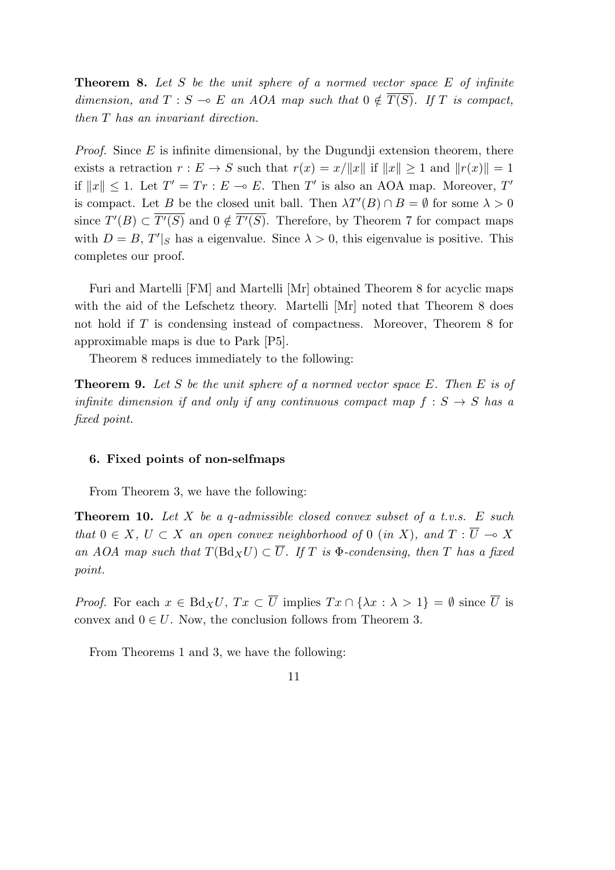**Theorem 8.** *Let S be the unit sphere of a normed vector space E of infinite dimension, and*  $T : S \to E$  *an AOA map such that*  $0 \notin \overline{T(S)}$ *. If T is compact, then T has an invariant direction.*

*Proof.* Since *E* is infinite dimensional, by the Dugundji extension theorem, there exists a retraction  $r : E \to S$  such that  $r(x) = x/||x||$  if  $||x|| > 1$  and  $||r(x)|| = 1$ if  $||x|| ≤ 1$ . Let  $T' = Tr : E → E$ . Then  $T'$  is also an AOA map. Moreover,  $T'$ is compact. Let *B* be the closed unit ball. Then  $\lambda T'(B) \cap B = \emptyset$  for some  $\lambda > 0$ since  $T'(B) \subset T'(S)$  and  $0 \notin T'(S)$ . Therefore, by Theorem 7 for compact maps with  $D = B$ ,  $T'|_S$  has a eigenvalue. Since  $\lambda > 0$ , this eigenvalue is positive. This completes our proof.

Furi and Martelli [FM] and Martelli [Mr] obtained Theorem 8 for acyclic maps with the aid of the Lefschetz theory. Martelli [Mr] noted that Theorem 8 does not hold if *T* is condensing instead of compactness. Moreover, Theorem 8 for approximable maps is due to Park [P5].

Theorem 8 reduces immediately to the following:

**Theorem 9.** *Let S be the unit sphere of a normed vector space E. Then E is of infinite dimension if and only if any continuous compact map*  $f : S \rightarrow S$  *has a fixed point.*

# **6. Fixed points of non-selfmaps**

From Theorem 3, we have the following:

**Theorem 10.** *Let X be a q-admissible closed convex subset of a t.v.s. E such that*  $0 \in X$ *,*  $U \subset X$  *an open convex neighborhood of* 0 (*in* X), and  $T : \overline{U} \to X$ *an AOA map such that*  $T(\text{Bd}_X U) \subset \overline{U}$ *. If T is*  $\Phi$ *-condensing, then T has a fixed point.*

*Proof.* For each  $x \in \text{Bd}_X U$ ,  $Tx \subset \overline{U}$  implies  $Tx \cap {\lambda x : \lambda > 1} = \emptyset$  since  $\overline{U}$  is convex and  $0 \in U$ . Now, the conclusion follows from Theorem 3.

From Theorems 1 and 3, we have the following: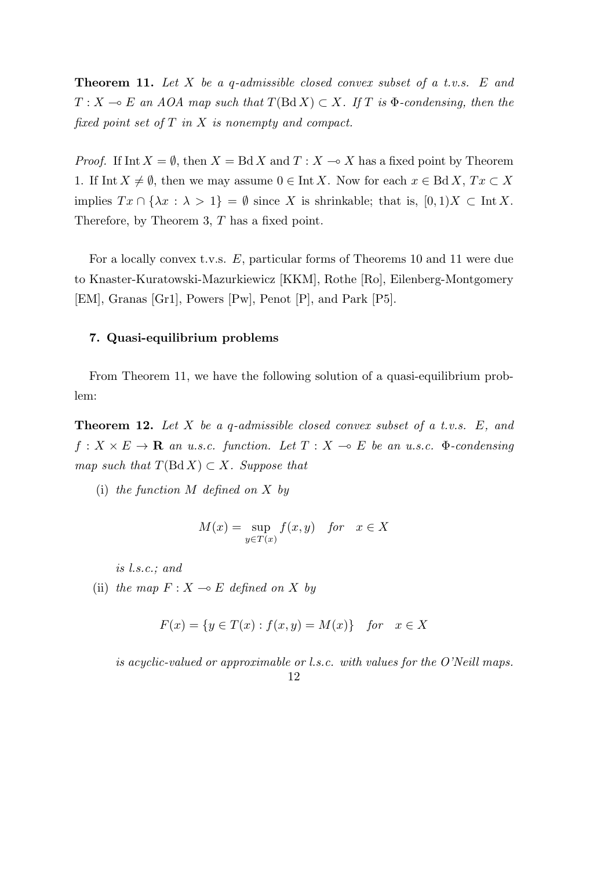**Theorem 11.** *Let X be a q-admissible closed convex subset of a t.v.s. E and*  $T: X \to E$  *an AOA map such that*  $T(BdX) \subset X$ *. If T is*  $\Phi$ *-condensing, then the fixed point set of T in X is nonempty and compact.*

*Proof.* If Int  $X = \emptyset$ , then  $X = \text{Bd } X$  and  $T : X \to X$  has a fixed point by Theorem 1. If Int  $X \neq \emptyset$ , then we may assume  $0 \in \text{Int } X$ . Now for each  $x \in \text{Bd } X$ ,  $Tx \subset X$ implies  $Tx \cap {\lambda x : \lambda > 1} = \emptyset$  since *X* is shrinkable; that is,  $[0,1)X \subset \text{Int } X$ . Therefore, by Theorem 3, *T* has a fixed point.

For a locally convex t.v.s. *E*, particular forms of Theorems 10 and 11 were due to Knaster-Kuratowski-Mazurkiewicz [KKM], Rothe [Ro], Eilenberg-Montgomery [EM], Granas [Gr1], Powers [Pw], Penot [P], and Park [P5].

# **7. Quasi-equilibrium problems**

From Theorem 11, we have the following solution of a quasi-equilibrium problem:

**Theorem 12.** *Let X be a q-admissible closed convex subset of a t.v.s. E, and*  $f: X \times E \to \mathbf{R}$  *an u.s.c. function. Let*  $T: X \to E$  *be an u.s.c.*  $\Phi$ *-condensing map such that*  $T(\text{Bd } X) \subset X$ *. Suppose that* 

(i) *the function M defined on X by*

$$
M(x) = \sup_{y \in T(x)} f(x, y) \quad \text{for} \quad x \in X
$$

*is l.s.c.; and*

(ii) *the map*  $F: X \rightarrow E$  *defined on*  $X$  *by* 

$$
F(x) = \{ y \in T(x) : f(x, y) = M(x) \}
$$
 for  $x \in X$ 

*is acyclic-valued or approximable or l.s.c. with values for the O'Neill maps.* 12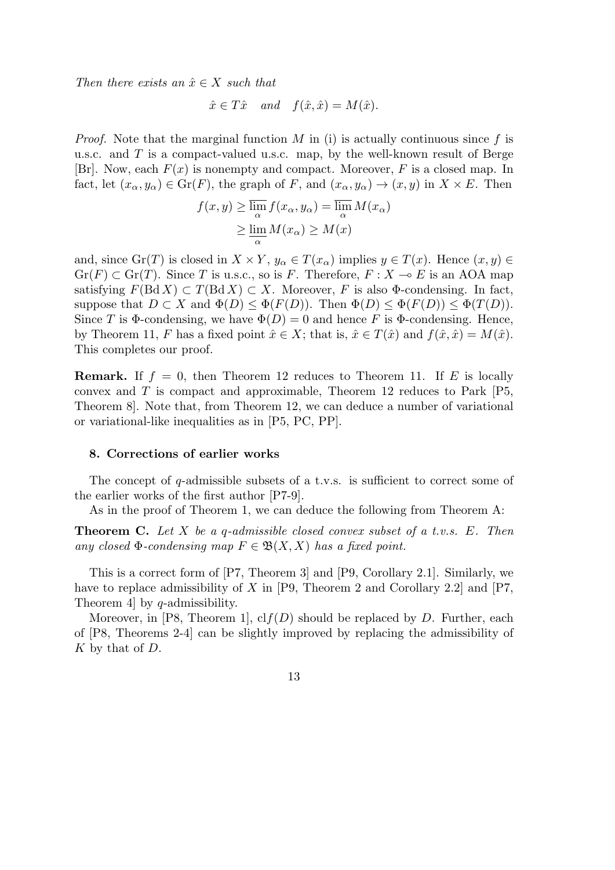*Then there exists an*  $\hat{x} \in X$  *such that* 

$$
\hat{x} \in T\hat{x}
$$
 and  $f(\hat{x}, \hat{x}) = M(\hat{x}).$ 

*Proof.* Note that the marginal function *M* in (i) is actually continuous since *f* is u.s.c. and *T* is a compact-valued u.s.c. map, by the well-known result of Berge [Br]. Now, each *F*(*x*) is nonempty and compact. Moreover, *F* is a closed map. In fact, let  $(x_{\alpha}, y_{\alpha}) \in \text{Gr}(F)$ , the graph of *F*, and  $(x_{\alpha}, y_{\alpha}) \to (x, y)$  in  $X \times E$ . Then

$$
f(x, y) \ge \overline{\lim_{\alpha}} f(x_{\alpha}, y_{\alpha}) = \overline{\lim_{\alpha}} M(x_{\alpha})
$$
  
 
$$
\ge \underline{\lim_{\alpha}} M(x_{\alpha}) \ge M(x)
$$

and, since  $\text{Gr}(T)$  is closed in  $X \times Y$ ,  $y_\alpha \in T(x_\alpha)$  implies  $y \in T(x)$ . Hence  $(x, y) \in$  $Gr(F) \subset Gr(T)$ . Since *T* is u.s.c., so is *F*. Therefore,  $F: X \to E$  is an AOA map satisfying  $F(\text{Bd } X) \subset T(\text{Bd } X) \subset X$ . Moreover, *F* is also  $\Phi$ -condensing. In fact, suppose that  $D \subset X$  and  $\Phi(D) \leq \Phi(F(D))$ . Then  $\Phi(D) \leq \Phi(F(D)) \leq \Phi(T(D))$ . Since *T* is  $\Phi$ -condensing, we have  $\Phi(D) = 0$  and hence *F* is  $\Phi$ -condensing. Hence, by Theorem 11, *F* has a fixed point  $\hat{x} \in X$ ; that is,  $\hat{x} \in T(\hat{x})$  and  $f(\hat{x}, \hat{x}) = M(\hat{x})$ . This completes our proof.

**Remark.** If  $f = 0$ , then Theorem 12 reduces to Theorem 11. If *E* is locally convex and *T* is compact and approximable, Theorem 12 reduces to Park [P5, Theorem 8]. Note that, from Theorem 12, we can deduce a number of variational or variational-like inequalities as in [P5, PC, PP].

#### **8. Corrections of earlier works**

The concept of *q*-admissible subsets of a t.v.s. is sufficient to correct some of the earlier works of the first author [P7-9].

As in the proof of Theorem 1, we can deduce the following from Theorem A:

**Theorem C.** *Let X be a q-admissible closed convex subset of a t.v.s. E. Then any closed*  $\Phi$ *-condensing map*  $F \in \mathfrak{B}(X,X)$  *has a fixed point.* 

This is a correct form of [P7, Theorem 3] and [P9, Corollary 2.1]. Similarly, we have to replace admissibility of *X* in [P9, Theorem 2 and Corollary 2.2] and [P7, Theorem 4] by *q*-admissibility.

Moreover, in [P8, Theorem 1],  $\text{cl}(D)$  should be replaced by *D*. Further, each of [P8, Theorems 2-4] can be slightly improved by replacing the admissibility of *K* by that of *D*.

13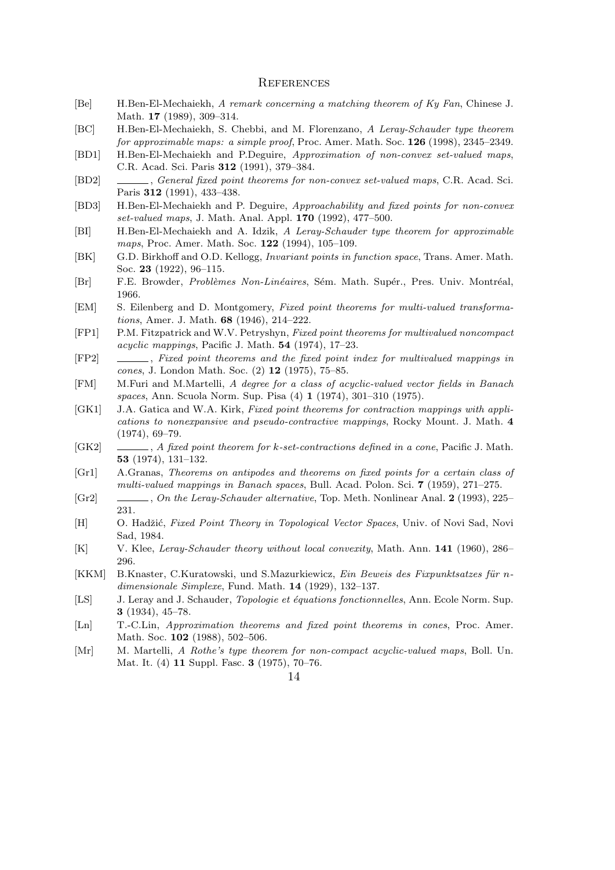#### **REFERENCES**

- [Be] H.Ben-El-Mechaiekh, *A remark concerning a matching theorem of Ky Fan*, Chinese J. Math. **17** (1989), 309–314.
- [BC] H.Ben-El-Mechaiekh, S. Chebbi, and M. Florenzano, *A Leray-Schauder type theorem for approximable maps: a simple proof*, Proc. Amer. Math. Soc. **126** (1998), 2345–2349.
- [BD1] H.Ben-El-Mechaiekh and P.Deguire, *Approximation of non-convex set-valued maps*, C.R. Acad. Sci. Paris **312** (1991), 379–384.
- [BD2] , *General fixed point theorems for non-convex set-valued maps*, C.R. Acad. Sci. Paris **312** (1991), 433–438.
- [BD3] H.Ben-El-Mechaiekh and P. Deguire, *Approachability and fixed points for non-convex set-valued maps*, J. Math. Anal. Appl. **170** (1992), 477–500.
- [BI] H.Ben-El-Mechaiekh and A. Idzik, *A Leray-Schauder type theorem for approximable maps*, Proc. Amer. Math. Soc. **122** (1994), 105–109.
- [BK] G.D. Birkhoff and O.D. Kellogg, *Invariant points in function space*, Trans. Amer. Math. Soc. **23** (1922), 96–115.
- [Br] F.E. Browder, *Problèmes Non-Linéaires*, Sém. Math. Supér., Pres. Univ. Montréal, 1966.
- [EM] S. Eilenberg and D. Montgomery, *Fixed point theorems for multi-valued transformations*, Amer. J. Math. **68** (1946), 214–222.
- [FP1] P.M. Fitzpatrick and W.V. Petryshyn, *Fixed point theorems for multivalued noncompact acyclic mappings*, Pacific J. Math. **54** (1974), 17–23.
- [FP2] , *Fixed point theorems and the fixed point index for multivalued mappings in cones*, J. London Math. Soc. (2) **12** (1975), 75–85.
- [FM] M.Furi and M.Martelli, *A degree for a class of acyclic-valued vector fields in Banach spaces*, Ann. Scuola Norm. Sup. Pisa (4) **1** (1974), 301–310 (1975).
- [GK1] J.A. Gatica and W.A. Kirk, *Fixed point theorems for contraction mappings with applications to nonexpansive and pseudo-contractive mappings*, Rocky Mount. J. Math. **4** (1974), 69–79.
- [GK2] , *A fixed point theorem for k-set-contractions defined in a cone*, Pacific J. Math. **53** (1974), 131–132.
- [Gr1] A.Granas, *Theorems on antipodes and theorems on fixed points for a certain class of multi-valued mappings in Banach spaces*, Bull. Acad. Polon. Sci. **7** (1959), 271–275.
- [Gr2] , *On the Leray-Schauder alternative*, Top. Meth. Nonlinear Anal. **2** (1993), 225– 231.
- [H] O. Hadžić, *Fixed Point Theory in Topological Vector Spaces*, Univ. of Novi Sad, Novi Sad, 1984.
- [K] V. Klee, *Leray-Schauder theory without local convexity*, Math. Ann. **141** (1960), 286– 296.
- [KKM] B.Knaster, C.Kuratowski, und S.Mazurkiewicz, *Ein Beweis des Fixpunktsatzes für ndimensionale Simplexe*, Fund. Math. **14** (1929), 132–137.
- [LS] J. Leray and J. Schauder, *Topologie et équations fonctionnelles*, Ann. Ecole Norm. Sup. **3** (1934), 45–78.
- [Ln] T.-C.Lin, *Approximation theorems and fixed point theorems in cones*, Proc. Amer. Math. Soc. **102** (1988), 502–506.
- [Mr] M. Martelli, *A Rothe's type theorem for non-compact acyclic-valued maps*, Boll. Un. Mat. It. (4) **11** Suppl. Fasc. **3** (1975), 70–76.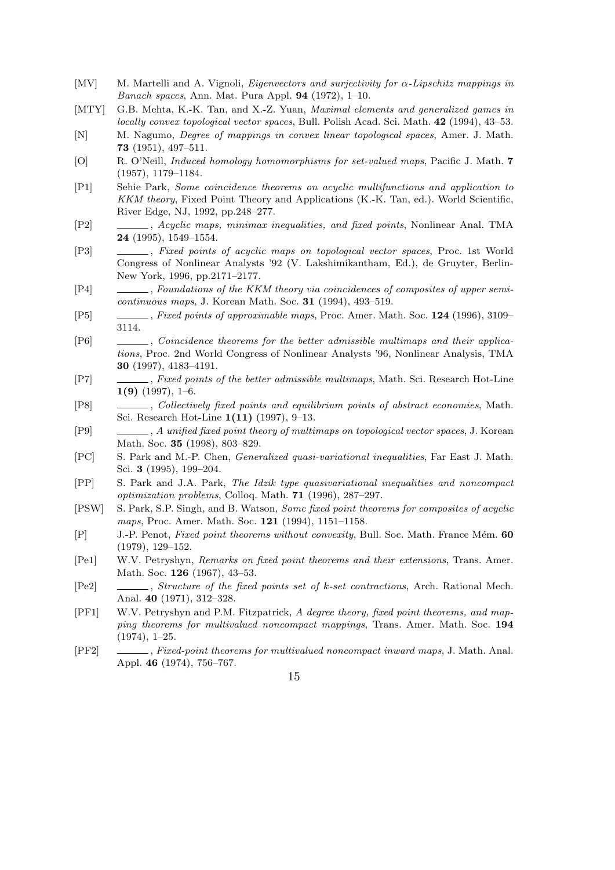- [MV] M. Martelli and A. Vignoli, *Eigenvectors and surjectivity for α-Lipschitz mappings in Banach spaces*, Ann. Mat. Pura Appl. **94** (1972), 1–10.
- [MTY] G.B. Mehta, K.-K. Tan, and X.-Z. Yuan, *Maximal elements and generalized games in locally convex topological vector spaces*, Bull. Polish Acad. Sci. Math. **42** (1994), 43–53.
- [N] M. Nagumo, *Degree of mappings in convex linear topological spaces*, Amer. J. Math. **73** (1951), 497–511.
- [O] R. O'Neill, *Induced homology homomorphisms for set-valued maps*, Pacific J. Math. **7** (1957), 1179–1184.
- [P1] Sehie Park, *Some coincidence theorems on acyclic multifunctions and application to KKM theory*, Fixed Point Theory and Applications (K.-K. Tan, ed.). World Scientific, River Edge, NJ, 1992, pp.248–277.
- [P2] , *Acyclic maps, minimax inequalities, and fixed points*, Nonlinear Anal. TMA **24** (1995), 1549–1554.
- [P3] , *Fixed points of acyclic maps on topological vector spaces*, Proc. 1st World Congress of Nonlinear Analysts '92 (V. Lakshimikantham, Ed.), de Gruyter, Berlin-New York, 1996, pp.2171–2177.
- [P4] , *Foundations of the KKM theory via coincidences of composites of upper semicontinuous maps*, J. Korean Math. Soc. **31** (1994), 493–519.
- [P5] , *Fixed points of approximable maps*, Proc. Amer. Math. Soc. **124** (1996), 3109– 3114.
- [P6] , *Coincidence theorems for the better admissible multimaps and their applications*, Proc. 2nd World Congress of Nonlinear Analysts '96, Nonlinear Analysis, TMA **30** (1997), 4183–4191.
- [P7] , *Fixed points of the better admissible multimaps*, Math. Sci. Research Hot-Line **1(9)** (1997), 1–6.
- [P8] , *Collectively fixed points and equilibrium points of abstract economies*, Math. Sci. Research Hot-Line **1(11)** (1997), 9–13.
- [P9] , *A unified fixed point theory of multimaps on topological vector spaces*, J. Korean Math. Soc. **35** (1998), 803–829.
- [PC] S. Park and M.-P. Chen, *Generalized quasi-variational inequalities*, Far East J. Math. Sci. **3** (1995), 199–204.
- [PP] S. Park and J.A. Park, *The Idzik type quasivariational inequalities and noncompact optimization problems*, Colloq. Math. **71** (1996), 287–297.
- [PSW] S. Park, S.P. Singh, and B. Watson, *Some fixed point theorems for composites of acyclic maps*, Proc. Amer. Math. Soc. **121** (1994), 1151–1158.
- [P] J.-P. Penot, *Fixed point theorems without convexity*, Bull. Soc. Math. France M´em. **60** (1979), 129–152.
- [Pe1] W.V. Petryshyn, *Remarks on fixed point theorems and their extensions*, Trans. Amer. Math. Soc. **126** (1967), 43–53.
- [Pe2] , *Structure of the fixed points set of k-set contractions*, Arch. Rational Mech. Anal. **40** (1971), 312–328.
- [PF1] W.V. Petryshyn and P.M. Fitzpatrick, *A degree theory, fixed point theorems, and mapping theorems for multivalued noncompact mappings*, Trans. Amer. Math. Soc. **194** (1974), 1–25.
- [PF2] , *Fixed-point theorems for multivalued noncompact inward maps*, J. Math. Anal. Appl. **46** (1974), 756–767.
	- 15